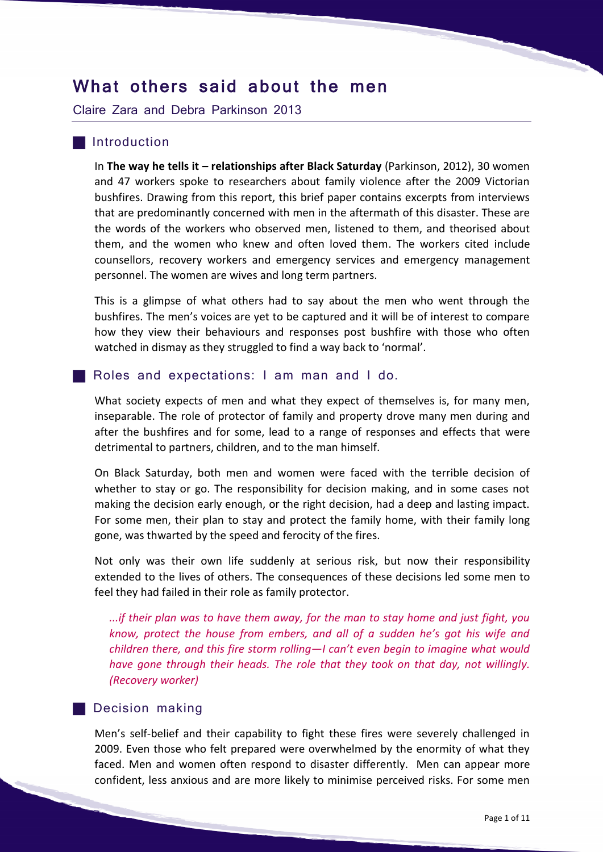# What others said about the men

Claire Zara and Debra Parkinson 2013

## **Introduction**

In **The way he tells it – relationships after Black Saturday** (Parkinson, 2012), 30 women and 47 workers spoke to researchers about family violence after the 2009 Victorian bushfires. Drawing from this report, this brief paper contains excerpts from interviews that are predominantly concerned with men in the aftermath of this disaster. These are the words of the workers who observed men, listened to them, and theorised about them, and the women who knew and often loved them. The workers cited include counsellors, recovery workers and emergency services and emergency management personnel. The women are wives and long term partners.

This is a glimpse of what others had to say about the men who went through the bushfires. The men's voices are yet to be captured and it will be of interest to compare how they view their behaviours and responses post bushfire with those who often watched in dismay as they struggled to find a way back to 'normal'.

#### **Roles and expectations: I am man and I do.**

What society expects of men and what they expect of themselves is, for many men, inseparable. The role of protector of family and property drove many men during and after the bushfires and for some, lead to a range of responses and effects that were detrimental to partners, children, and to the man himself.

On Black Saturday, both men and women were faced with the terrible decision of whether to stay or go. The responsibility for decision making, and in some cases not making the decision early enough, or the right decision, had a deep and lasting impact. For some men, their plan to stay and protect the family home, with their family long gone, was thwarted by the speed and ferocity of the fires.

Not only was their own life suddenly at serious risk, but now their responsibility extended to the lives of others. The consequences of these decisions led some men to feel they had failed in their role as family protector.

*...if their plan was to have them away, for the man to stay home and just fight, you know, protect the house from embers, and all of a sudden he's got his wife and children there, and this fire storm rolling—I can't even begin to imagine what would have gone through their heads. The role that they took on that day, not willingly. (Recovery worker)*

#### **Decision making**

Men's self-belief and their capability to fight these fires were severely challenged in 2009. Even those who felt prepared were overwhelmed by the enormity of what they faced. Men and women often respond to disaster differently. Men can appear more confident, less anxious and are more likely to minimise perceived risks. For some men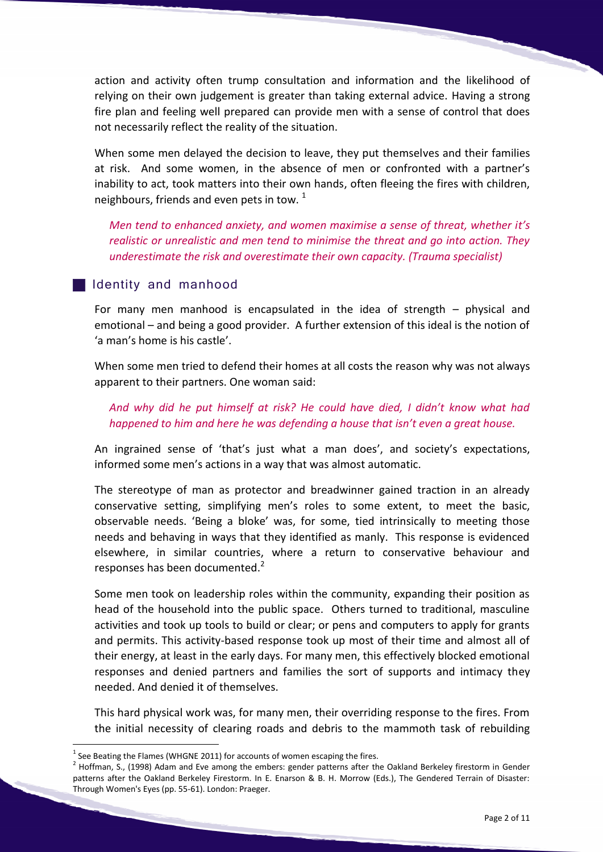action and activity often trump consultation and information and the likelihood of relying on their own judgement is greater than taking external advice. Having a strong fire plan and feeling well prepared can provide men with a sense of control that does not necessarily reflect the reality of the situation.

When some men delayed the decision to leave, they put themselves and their families at risk. And some women, in the absence of men or confronted with a partner's inability to act, took matters into their own hands, often fleeing the fires with children, neighbours, friends and even pets in tow.  $1$ 

*Men tend to enhanced anxiety, and women maximise a sense of threat, whether it's realistic or unrealistic and men tend to minimise the threat and go into action. They underestimate the risk and overestimate their own capacity. (Trauma specialist)*

# Identity and manhood

For many men manhood is encapsulated in the idea of strength – physical and emotional – and being a good provider. A further extension of this ideal is the notion of 'a man's home is his castle'.

When some men tried to defend their homes at all costs the reason why was not always apparent to their partners. One woman said:

# *And why did he put himself at risk? He could have died, I didn't know what had happened to him and here he was defending a house that isn't even a great house.*

An ingrained sense of 'that's just what a man does', and society's expectations, informed some men's actions in a way that was almost automatic.

The stereotype of man as protector and breadwinner gained traction in an already conservative setting, simplifying men's roles to some extent, to meet the basic, observable needs. 'Being a bloke' was, for some, tied intrinsically to meeting those needs and behaving in ways that they identified as manly. This response is evidenced elsewhere, in similar countries, where a return to conservative behaviour and responses has been documented.<sup>2</sup>

Some men took on leadership roles within the community, expanding their position as head of the household into the public space. Others turned to traditional, masculine activities and took up tools to build or clear; or pens and computers to apply for grants and permits. This activity-based response took up most of their time and almost all of their energy, at least in the early days. For many men, this effectively blocked emotional responses and denied partners and families the sort of supports and intimacy they needed. And denied it of themselves.

This hard physical work was, for many men, their overriding response to the fires. From the initial necessity of clearing roads and debris to the mammoth task of rebuilding

<u>.</u>

 $<sup>1</sup>$  See Beating the Flames (WHGNE 2011) for accounts of women escaping the fires.</sup>

 $2$  Hoffman, S., (1998) Adam and Eve among the embers: gender patterns after the Oakland Berkeley firestorm in Gender patterns after the Oakland Berkeley Firestorm. In E. Enarson & B. H. Morrow (Eds.), The Gendered Terrain of Disaster: Through Women's Eyes (pp. 55-61). London: Praeger.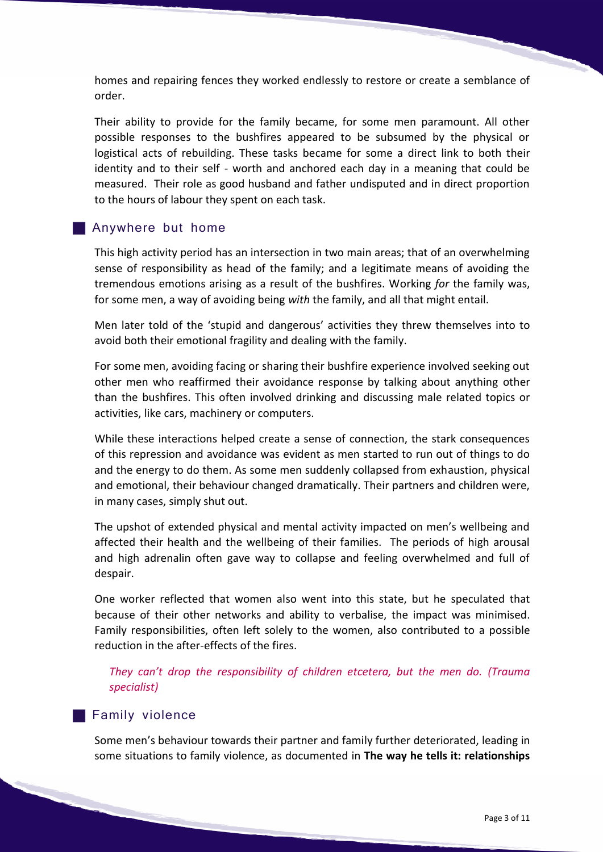homes and repairing fences they worked endlessly to restore or create a semblance of order.

Their ability to provide for the family became, for some men paramount. All other possible responses to the bushfires appeared to be subsumed by the physical or logistical acts of rebuilding. These tasks became for some a direct link to both their identity and to their self - worth and anchored each day in a meaning that could be measured. Their role as good husband and father undisputed and in direct proportion to the hours of labour they spent on each task.

#### **Anywhere but home**

This high activity period has an intersection in two main areas; that of an overwhelming sense of responsibility as head of the family; and a legitimate means of avoiding the tremendous emotions arising as a result of the bushfires. Working *for* the family was, for some men, a way of avoiding being *with* the family, and all that might entail.

Men later told of the 'stupid and dangerous' activities they threw themselves into to avoid both their emotional fragility and dealing with the family.

For some men, avoiding facing or sharing their bushfire experience involved seeking out other men who reaffirmed their avoidance response by talking about anything other than the bushfires. This often involved drinking and discussing male related topics or activities, like cars, machinery or computers.

While these interactions helped create a sense of connection, the stark consequences of this repression and avoidance was evident as men started to run out of things to do and the energy to do them. As some men suddenly collapsed from exhaustion, physical and emotional, their behaviour changed dramatically. Their partners and children were, in many cases, simply shut out.

The upshot of extended physical and mental activity impacted on men's wellbeing and affected their health and the wellbeing of their families. The periods of high arousal and high adrenalin often gave way to collapse and feeling overwhelmed and full of despair.

One worker reflected that women also went into this state, but he speculated that because of their other networks and ability to verbalise, the impact was minimised. Family responsibilities, often left solely to the women, also contributed to a possible reduction in the after-effects of the fires.

*They can't drop the responsibility of children etcetera, but the men do. (Trauma specialist)*

#### **Family violence**

Some men's behaviour towards their partner and family further deteriorated, leading in some situations to family violence, as documented in **The way he tells it: relationships**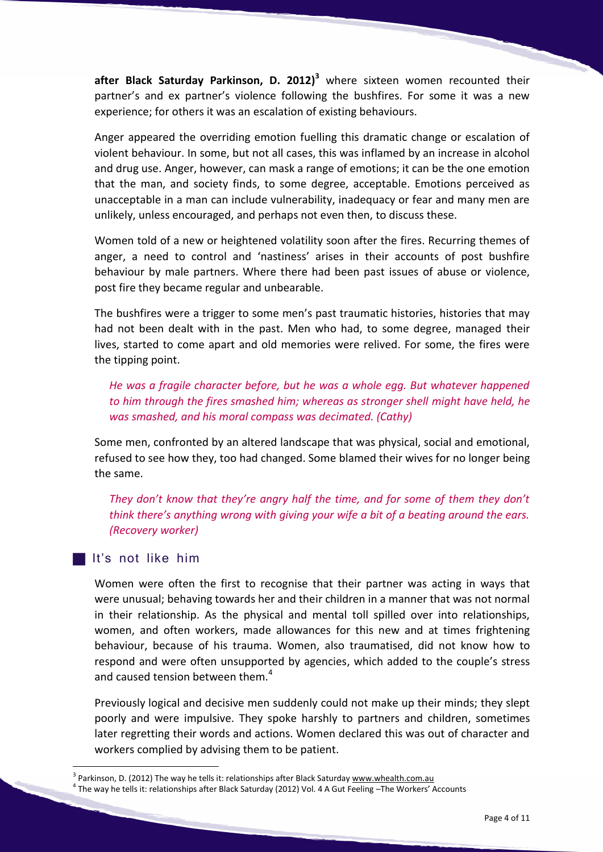**after Black Saturday Parkinson, D. 2012)<sup>3</sup>** where sixteen women recounted their partner's and ex partner's violence following the bushfires. For some it was a new experience; for others it was an escalation of existing behaviours.

Anger appeared the overriding emotion fuelling this dramatic change or escalation of violent behaviour. In some, but not all cases, this was inflamed by an increase in alcohol and drug use. Anger, however, can mask a range of emotions; it can be the one emotion that the man, and society finds, to some degree, acceptable. Emotions perceived as unacceptable in a man can include vulnerability, inadequacy or fear and many men are unlikely, unless encouraged, and perhaps not even then, to discuss these.

Women told of a new or heightened volatility soon after the fires. Recurring themes of anger, a need to control and 'nastiness' arises in their accounts of post bushfire behaviour by male partners. Where there had been past issues of abuse or violence, post fire they became regular and unbearable.

The bushfires were a trigger to some men's past traumatic histories, histories that may had not been dealt with in the past. Men who had, to some degree, managed their lives, started to come apart and old memories were relived. For some, the fires were the tipping point.

*He was a fragile character before, but he was a whole egg. But whatever happened to him through the fires smashed him; whereas as stronger shell might have held, he was smashed, and his moral compass was decimated. (Cathy)*

Some men, confronted by an altered landscape that was physical, social and emotional, refused to see how they, too had changed. Some blamed their wives for no longer being the same.

*They don't know that they're angry half the time, and for some of them they don't think there's anything wrong with giving your wife a bit of a beating around the ears. (Recovery worker)*

### It's not like him

1

Women were often the first to recognise that their partner was acting in ways that were unusual; behaving towards her and their children in a manner that was not normal in their relationship. As the physical and mental toll spilled over into relationships, women, and often workers, made allowances for this new and at times frightening behaviour, because of his trauma. Women, also traumatised, did not know how to respond and were often unsupported by agencies, which added to the couple's stress and caused tension between them.<sup>4</sup>

Previously logical and decisive men suddenly could not make up their minds; they slept poorly and were impulsive. They spoke harshly to partners and children, sometimes later regretting their words and actions. Women declared this was out of character and workers complied by advising them to be patient.

<sup>&</sup>lt;sup>3</sup> Parkinson, D. (2012) The way he tells it: relationships after Black Saturday [www.whealth.com.au](http://www.whealth.com.au/) <sup>4</sup> The way he tells it: relationships after Black Saturday (2012) Vol. 4 A Gut Feeling –The Workers' Accounts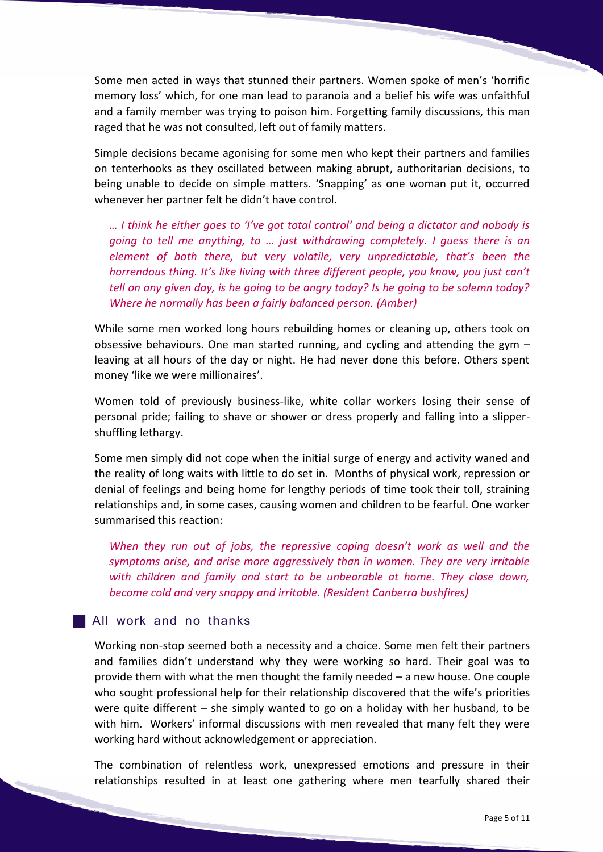Some men acted in ways that stunned their partners. Women spoke of men's 'horrific memory loss' which, for one man lead to paranoia and a belief his wife was unfaithful and a family member was trying to poison him. Forgetting family discussions, this man raged that he was not consulted, left out of family matters.

Simple decisions became agonising for some men who kept their partners and families on tenterhooks as they oscillated between making abrupt, authoritarian decisions, to being unable to decide on simple matters. 'Snapping' as one woman put it, occurred whenever her partner felt he didn't have control.

*… I think he either goes to 'I've got total control' and being a dictator and nobody is going to tell me anything, to … just withdrawing completely. I guess there is an element of both there, but very volatile, very unpredictable, that's been the horrendous thing. It's like living with three different people, you know, you just can't tell on any given day, is he going to be angry today? Is he going to be solemn today? Where he normally has been a fairly balanced person. (Amber)*

While some men worked long hours rebuilding homes or cleaning up, others took on obsessive behaviours. One man started running, and cycling and attending the gym – leaving at all hours of the day or night. He had never done this before. Others spent money 'like we were millionaires'.

Women told of previously business-like, white collar workers losing their sense of personal pride; failing to shave or shower or dress properly and falling into a slippershuffling lethargy.

Some men simply did not cope when the initial surge of energy and activity waned and the reality of long waits with little to do set in. Months of physical work, repression or denial of feelings and being home for lengthy periods of time took their toll, straining relationships and, in some cases, causing women and children to be fearful. One worker summarised this reaction:

*When they run out of jobs, the repressive coping doesn't work as well and the symptoms arise, and arise more aggressively than in women. They are very irritable with children and family and start to be unbearable at home. They close down, become cold and very snappy and irritable. (Resident Canberra bushfires)*

# All work and no thanks

Working non-stop seemed both a necessity and a choice. Some men felt their partners and families didn't understand why they were working so hard. Their goal was to provide them with what the men thought the family needed – a new house. One couple who sought professional help for their relationship discovered that the wife's priorities were quite different – she simply wanted to go on a holiday with her husband, to be with him. Workers' informal discussions with men revealed that many felt they were working hard without acknowledgement or appreciation.

The combination of relentless work, unexpressed emotions and pressure in their relationships resulted in at least one gathering where men tearfully shared their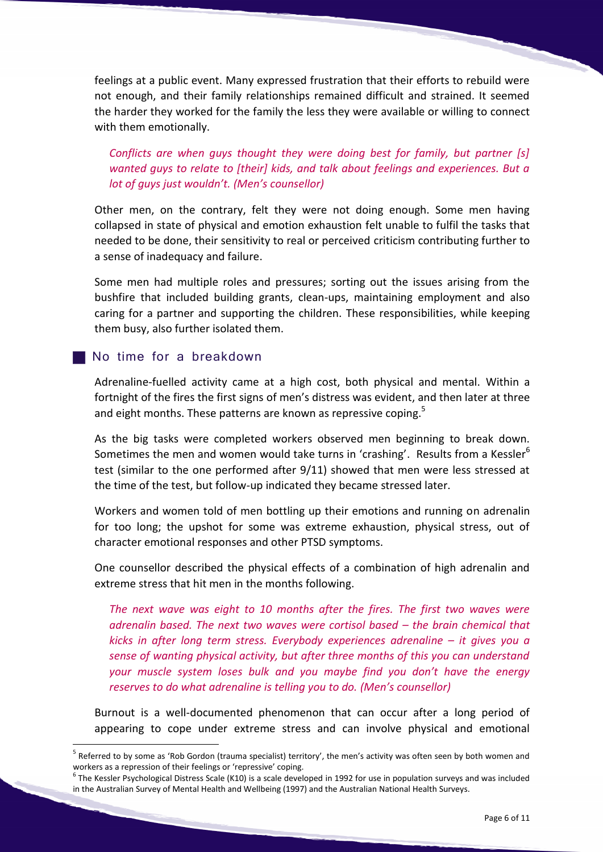feelings at a public event. Many expressed frustration that their efforts to rebuild were not enough, and their family relationships remained difficult and strained. It seemed the harder they worked for the family the less they were available or willing to connect with them emotionally.

*Conflicts are when guys thought they were doing best for family, but partner [s] wanted guys to relate to [their] kids, and talk about feelings and experiences. But a lot of guys just wouldn't. (Men's counsellor)*

Other men, on the contrary, felt they were not doing enough. Some men having collapsed in state of physical and emotion exhaustion felt unable to fulfil the tasks that needed to be done, their sensitivity to real or perceived criticism contributing further to a sense of inadequacy and failure.

Some men had multiple roles and pressures; sorting out the issues arising from the bushfire that included building grants, clean-ups, maintaining employment and also caring for a partner and supporting the children. These responsibilities, while keeping them busy, also further isolated them.

### No time for a breakdown

<u>.</u>

Adrenaline-fuelled activity came at a high cost, both physical and mental. Within a fortnight of the fires the first signs of men's distress was evident, and then later at three and eight months. These patterns are known as repressive coping. $5$ 

As the big tasks were completed workers observed men beginning to break down. Sometimes the men and women would take turns in 'crashing'. Results from a Kessler $6$ test (similar to the one performed after 9/11) showed that men were less stressed at the time of the test, but follow-up indicated they became stressed later.

Workers and women told of men bottling up their emotions and running on adrenalin for too long; the upshot for some was extreme exhaustion, physical stress, out of character emotional responses and other PTSD symptoms.

One counsellor described the physical effects of a combination of high adrenalin and extreme stress that hit men in the months following.

*The next wave was eight to 10 months after the fires. The first two waves were adrenalin based. The next two waves were cortisol based – the brain chemical that kicks in after long term stress. Everybody experiences adrenaline – it gives you a sense of wanting physical activity, but after three months of this you can understand your muscle system loses bulk and you maybe find you don't have the energy reserves to do what adrenaline is telling you to do. (Men's counsellor)*

Burnout is a well-documented phenomenon that can occur after a long period of appearing to cope under extreme stress and can involve physical and emotional

<sup>&</sup>lt;sup>5</sup> Referred to by some as 'Rob Gordon (trauma specialist) territory', the men's activity was often seen by both women and

workers as a repression of their feelings or 'repressive' coping.<br><sup>6</sup> The Kessler Psychological Distress Scale (K10) is a scale developed in 1992 for use in population surveys and was included in the Australian Survey of Mental Health and Wellbeing (1997) and the Australian National Health Surveys.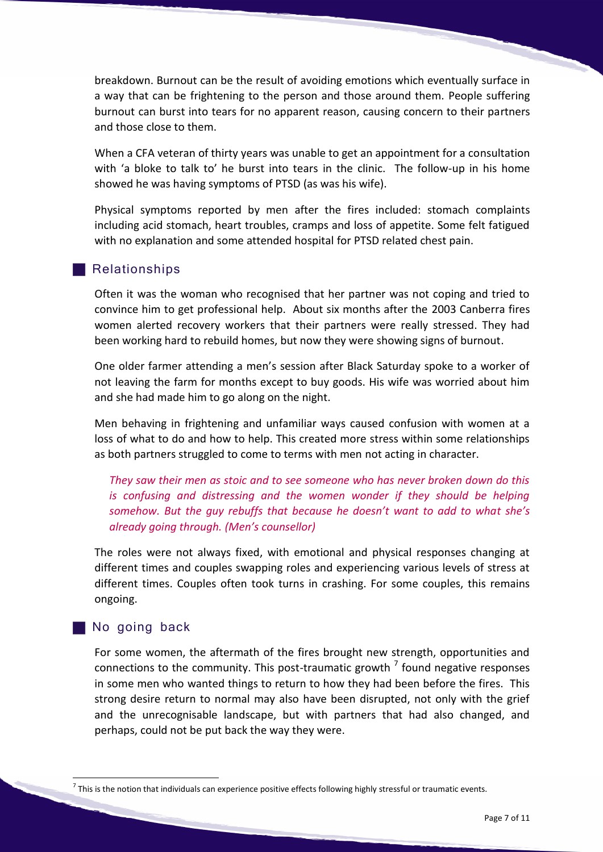breakdown. Burnout can be the result of avoiding emotions which eventually surface in a way that can be frightening to the person and those around them. People suffering burnout can burst into tears for no apparent reason, causing concern to their partners and those close to them.

When a CFA veteran of thirty years was unable to get an appointment for a consultation with 'a bloke to talk to' he burst into tears in the clinic. The follow-up in his home showed he was having symptoms of PTSD (as was his wife).

Physical symptoms reported by men after the fires included: stomach complaints including acid stomach, heart troubles, cramps and loss of appetite. Some felt fatigued with no explanation and some attended hospital for PTSD related chest pain.

# **Relationships**

Often it was the woman who recognised that her partner was not coping and tried to convince him to get professional help. About six months after the 2003 Canberra fires women alerted recovery workers that their partners were really stressed. They had been working hard to rebuild homes, but now they were showing signs of burnout.

One older farmer attending a men's session after Black Saturday spoke to a worker of not leaving the farm for months except to buy goods. His wife was worried about him and she had made him to go along on the night.

Men behaving in frightening and unfamiliar ways caused confusion with women at a loss of what to do and how to help. This created more stress within some relationships as both partners struggled to come to terms with men not acting in character.

*They saw their men as stoic and to see someone who has never broken down do this is confusing and distressing and the women wonder if they should be helping somehow. But the guy rebuffs that because he doesn't want to add to what she's already going through. (Men's counsellor)*

The roles were not always fixed, with emotional and physical responses changing at different times and couples swapping roles and experiencing various levels of stress at different times. Couples often took turns in crashing. For some couples, this remains ongoing.

# No going back

<u>.</u>

For some women, the aftermath of the fires brought new strength, opportunities and connections to the community. This post-traumatic growth  $<sup>7</sup>$  found negative responses</sup> in some men who wanted things to return to how they had been before the fires. This strong desire return to normal may also have been disrupted, not only with the grief and the unrecognisable landscape, but with partners that had also changed, and perhaps, could not be put back the way they were.

 $^7$  This is the notion that individuals can experience positive effects following highly stressful or traumatic events.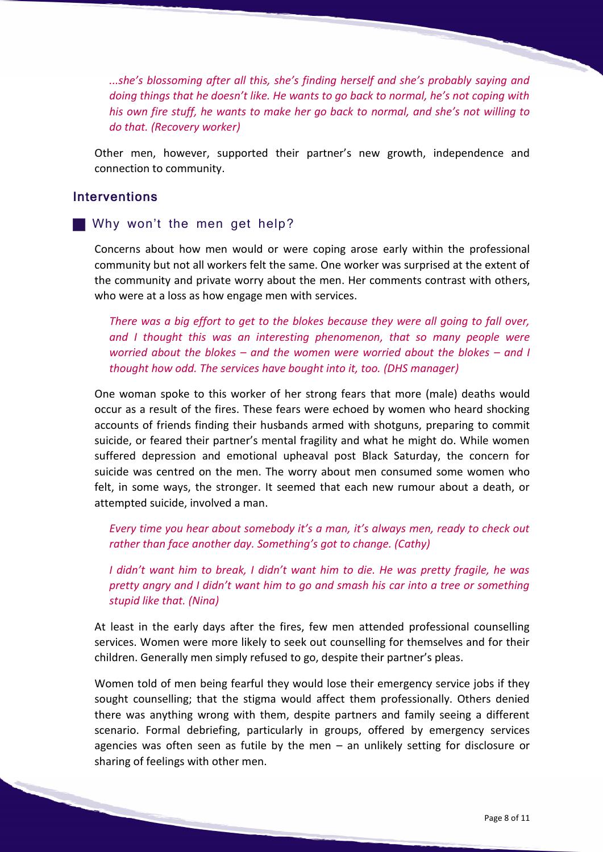*...she's blossoming after all this, she's finding herself and she's probably saying and doing things that he doesn't like. He wants to go back to normal, he's not coping with his own fire stuff, he wants to make her go back to normal, and she's not willing to do that. (Recovery worker)*

Other men, however, supported their partner's new growth, independence and connection to community.

# **Interventions**

### Why won't the men get help?

Concerns about how men would or were coping arose early within the professional community but not all workers felt the same. One worker was surprised at the extent of the community and private worry about the men. Her comments contrast with others, who were at a loss as how engage men with services.

*There was a big effort to get to the blokes because they were all going to fall over, and I thought this was an interesting phenomenon, that so many people were worried about the blokes – and the women were worried about the blokes – and I thought how odd. The services have bought into it, too. (DHS manager)*

One woman spoke to this worker of her strong fears that more (male) deaths would occur as a result of the fires. These fears were echoed by women who heard shocking accounts of friends finding their husbands armed with shotguns, preparing to commit suicide, or feared their partner's mental fragility and what he might do. While women suffered depression and emotional upheaval post Black Saturday, the concern for suicide was centred on the men. The worry about men consumed some women who felt, in some ways, the stronger. It seemed that each new rumour about a death, or attempted suicide, involved a man.

*Every time you hear about somebody it's a man, it's always men, ready to check out rather than face another day. Something's got to change. (Cathy)*

*I didn't want him to break, I didn't want him to die. He was pretty fragile, he was pretty angry and I didn't want him to go and smash his car into a tree or something stupid like that. (Nina)*

At least in the early days after the fires, few men attended professional counselling services. Women were more likely to seek out counselling for themselves and for their children. Generally men simply refused to go, despite their partner's pleas.

Women told of men being fearful they would lose their emergency service jobs if they sought counselling; that the stigma would affect them professionally. Others denied there was anything wrong with them, despite partners and family seeing a different scenario. Formal debriefing, particularly in groups, offered by emergency services agencies was often seen as futile by the men – an unlikely setting for disclosure or sharing of feelings with other men.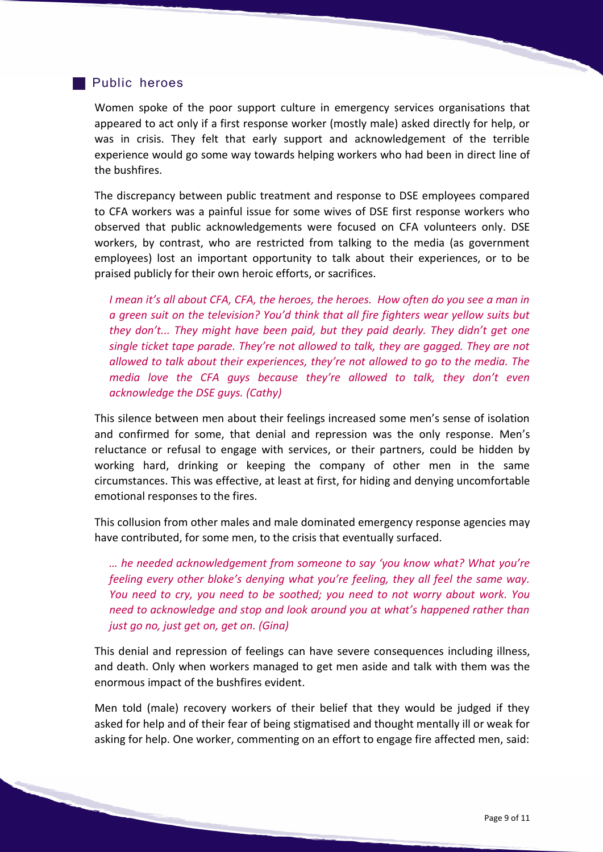## **Public heroes**

Women spoke of the poor support culture in emergency services organisations that appeared to act only if a first response worker (mostly male) asked directly for help, or was in crisis. They felt that early support and acknowledgement of the terrible experience would go some way towards helping workers who had been in direct line of the bushfires.

The discrepancy between public treatment and response to DSE employees compared to CFA workers was a painful issue for some wives of DSE first response workers who observed that public acknowledgements were focused on CFA volunteers only. DSE workers, by contrast, who are restricted from talking to the media (as government employees) lost an important opportunity to talk about their experiences, or to be praised publicly for their own heroic efforts, or sacrifices.

*I mean it's all about CFA, CFA, the heroes, the heroes. How often do you see a man in a green suit on the television? You'd think that all fire fighters wear yellow suits but they don't... They might have been paid, but they paid dearly. They didn't get one single ticket tape parade. They're not allowed to talk, they are gagged. They are not allowed to talk about their experiences, they're not allowed to go to the media. The media love the CFA guys because they're allowed to talk, they don't even acknowledge the DSE guys. (Cathy)*

This silence between men about their feelings increased some men's sense of isolation and confirmed for some, that denial and repression was the only response. Men's reluctance or refusal to engage with services, or their partners, could be hidden by working hard, drinking or keeping the company of other men in the same circumstances. This was effective, at least at first, for hiding and denying uncomfortable emotional responses to the fires.

This collusion from other males and male dominated emergency response agencies may have contributed, for some men, to the crisis that eventually surfaced.

*… he needed acknowledgement from someone to say 'you know what? What you're feeling every other bloke's denying what you're feeling, they all feel the same way. You need to cry, you need to be soothed; you need to not worry about work. You need to acknowledge and stop and look around you at what's happened rather than just go no, just get on, get on. (Gina)*

This denial and repression of feelings can have severe consequences including illness, and death. Only when workers managed to get men aside and talk with them was the enormous impact of the bushfires evident.

Men told (male) recovery workers of their belief that they would be judged if they asked for help and of their fear of being stigmatised and thought mentally ill or weak for asking for help. One worker, commenting on an effort to engage fire affected men, said: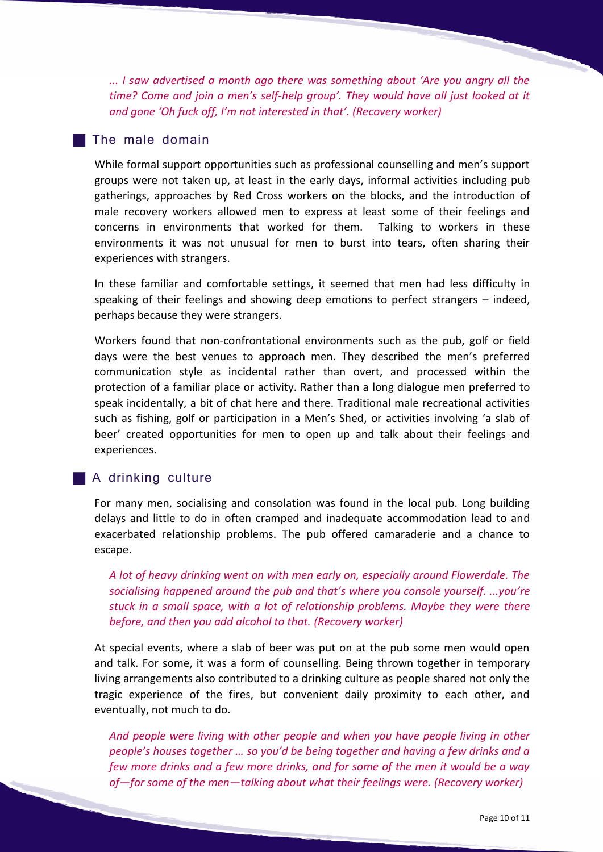*... I saw advertised a month ago there was something about 'Are you angry all the time? Come and join a men's self-help group'. They would have all just looked at it and gone 'Oh fuck off, I'm not interested in that'. (Recovery worker)* 

# **The male domain**

While formal support opportunities such as professional counselling and men's support groups were not taken up, at least in the early days, informal activities including pub gatherings, approaches by Red Cross workers on the blocks, and the introduction of male recovery workers allowed men to express at least some of their feelings and concerns in environments that worked for them. Talking to workers in these environments it was not unusual for men to burst into tears, often sharing their experiences with strangers.

In these familiar and comfortable settings, it seemed that men had less difficulty in speaking of their feelings and showing deep emotions to perfect strangers – indeed, perhaps because they were strangers.

Workers found that non-confrontational environments such as the pub, golf or field days were the best venues to approach men. They described the men's preferred communication style as incidental rather than overt, and processed within the protection of a familiar place or activity. Rather than a long dialogue men preferred to speak incidentally, a bit of chat here and there. Traditional male recreational activities such as fishing, golf or participation in a Men's Shed, or activities involving 'a slab of beer' created opportunities for men to open up and talk about their feelings and experiences.

### A drinking culture

For many men, socialising and consolation was found in the local pub. Long building delays and little to do in often cramped and inadequate accommodation lead to and exacerbated relationship problems. The pub offered camaraderie and a chance to escape.

*A lot of heavy drinking went on with men early on, especially around Flowerdale. The socialising happened around the pub and that's where you console yourself. ...you're stuck in a small space, with a lot of relationship problems. Maybe they were there before, and then you add alcohol to that. (Recovery worker)*

At special events, where a slab of beer was put on at the pub some men would open and talk. For some, it was a form of counselling. Being thrown together in temporary living arrangements also contributed to a drinking culture as people shared not only the tragic experience of the fires, but convenient daily proximity to each other, and eventually, not much to do.

*And people were living with other people and when you have people living in other people's houses together … so you'd be being together and having a few drinks and a few more drinks and a few more drinks, and for some of the men it would be a way of—for some of the men—talking about what their feelings were. (Recovery worker)*